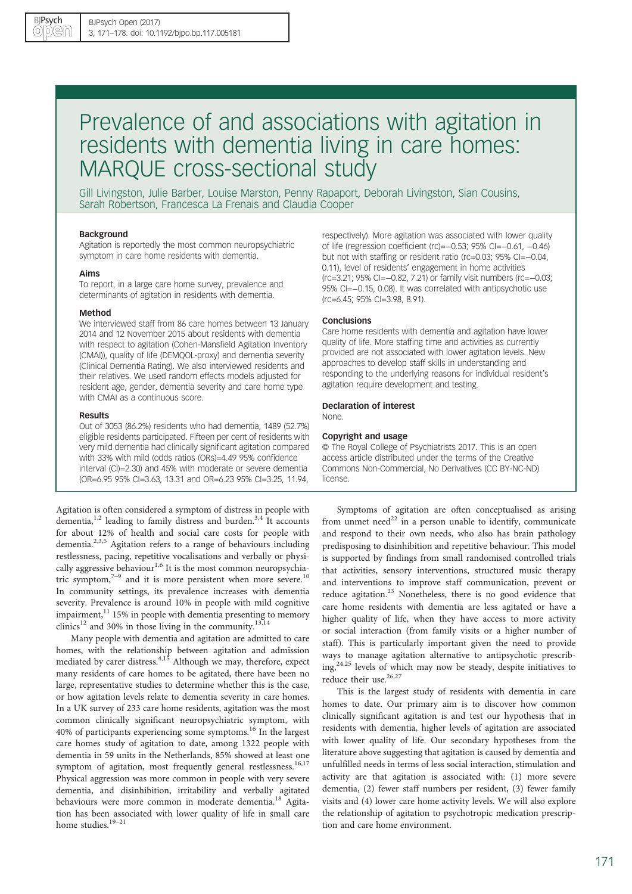# Prevalence of and associations with agitation in residents with dementia living in care homes: MARQUE cross-sectional study

Gill Livingston, Julie Barber, Louise Marston, Penny Rapaport, Deborah Livingston, Sian Cousins, Sarah Robertson, Francesca La Frenais and Claudia Cooper

## Background

Agitation is reportedly the most common neuropsychiatric symptom in care home residents with dementia.

## Aims

To report, in a large care home survey, prevalence and determinants of agitation in residents with dementia.

### Method

We interviewed staff from 86 care homes between 13 January 2014 and 12 November 2015 about residents with dementia with respect to agitation (Cohen-Mansfield Agitation Inventory (CMAI)), quality of life (DEMQOL-proxy) and dementia severity (Clinical Dementia Rating). We also interviewed residents and their relatives. We used random effects models adjusted for resident age, gender, dementia severity and care home type with CMAI as a continuous score.

#### Results

Out of 3053 (86.2%) residents who had dementia, 1489 (52.7%) eligible residents participated. Fifteen per cent of residents with very mild dementia had clinically significant agitation compared with 33% with mild (odds ratios (ORs)=4.49 95% confidence interval (CI)=2.30) and 45% with moderate or severe dementia (OR=6.95 95% CI=3.63, 13.31 and OR=6.23 95% CI=3.25, 11.94,

Agitation is often considered a symptom of distress in people with dementia, $1,2$  $1,2$  $1,2$  leading to family distress and burden. $3,4$  It accounts for about 12% of health and social care costs for people with dementia.<sup>[2](#page-6-0),[3,5](#page-6-0)</sup> Agitation refers to a range of behaviours including restlessness, pacing, repetitive vocalisations and verbally or physi-cally aggressive behaviour<sup>[1,6](#page-6-0)</sup> It is the most common neuropsychiatric symptom, $7-9$  $7-9$  $7-9$  and it is more persistent when more severe.<sup>[10](#page-6-0)</sup> In community settings, its prevalence increases with dementia severity. Prevalence is around 10% in people with mild cognitive impairment,<sup>[11](#page-6-0)</sup> 15% in people with dementia presenting to memory clinics<sup>[12](#page-6-0)</sup> and 30% in those living in the community.<sup>[13](#page-6-0),[14](#page-6-0)</sup>

Many people with dementia and agitation are admitted to care homes, with the relationship between agitation and admission mediated by carer distress.<sup>[4](#page-6-0),[15](#page-6-0)</sup> Although we may, therefore, expect many residents of care homes to be agitated, there have been no large, representative studies to determine whether this is the case, or how agitation levels relate to dementia severity in care homes. In a UK survey of 233 care home residents, agitation was the most common clinically significant neuropsychiatric symptom, with 40% of participants experiencing some symptoms.[16](#page-6-0) In the largest care homes study of agitation to date, among 1322 people with dementia in 59 units in the Netherlands, 85% showed at least one symptom of agitation, most frequently general restlessness.<sup>[16,17](#page-6-0)</sup> Physical aggression was more common in people with very severe dementia, and disinhibition, irritability and verbally agitated behaviours were more common in moderate dementia.[18](#page-6-0) Agitation has been associated with lower quality of life in small care home studies.<sup>[19](#page-6-0)–[21](#page-6-0)</sup>

respectively). More agitation was associated with lower quality of life (regression coefficient (rc)=−0.53; 95% CI=−0.61, −0.46) but not with staffing or resident ratio (rc=0.03; 95% CI=−0.04, 0.11), level of residents' engagement in home activities (rc=3.21; 95% CI=−0.82, 7.21) or family visit numbers (rc=−0.03; 95% CI=-0.15, 0.08). It was correlated with antipsychotic use (rc=6.45; 95% CI=3.98, 8.91).

## **Conclusions**

Care home residents with dementia and agitation have lower quality of life. More staffing time and activities as currently provided are not associated with lower agitation levels. New approaches to develop staff skills in understanding and responding to the underlying reasons for individual resident's agitation require development and testing.

## Declaration of interest

None.

## Copyright and usage

© The Royal College of Psychiatrists 2017. This is an open access article distributed under the terms of the Creative Commons Non-Commercial, No Derivatives (CC BY-NC-ND) license.

Symptoms of agitation are often conceptualised as arising from unmet need<sup>[22](#page-6-0)</sup> in a person unable to identify, communicate and respond to their own needs, who also has brain pathology predisposing to disinhibition and repetitive behaviour. This model is supported by findings from small randomised controlled trials that activities, sensory interventions, structured music therapy and interventions to improve staff communication, prevent or reduce agitation.<sup>[23](#page-6-0)</sup> Nonetheless, there is no good evidence that care home residents with dementia are less agitated or have a higher quality of life, when they have access to more activity or social interaction (from family visits or a higher number of staff). This is particularly important given the need to provide ways to manage agitation alternative to antipsychotic prescribing,[24](#page-6-0),[25](#page-6-0) levels of which may now be steady, despite initiatives to reduce their use.<sup>26,27</sup>

This is the largest study of residents with dementia in care homes to date. Our primary aim is to discover how common clinically significant agitation is and test our hypothesis that in residents with dementia, higher levels of agitation are associated with lower quality of life. Our secondary hypotheses from the literature above suggesting that agitation is caused by dementia and unfulfilled needs in terms of less social interaction, stimulation and activity are that agitation is associated with: (1) more severe dementia, (2) fewer staff numbers per resident, (3) fewer family visits and (4) lower care home activity levels. We will also explore the relationship of agitation to psychotropic medication prescription and care home environment.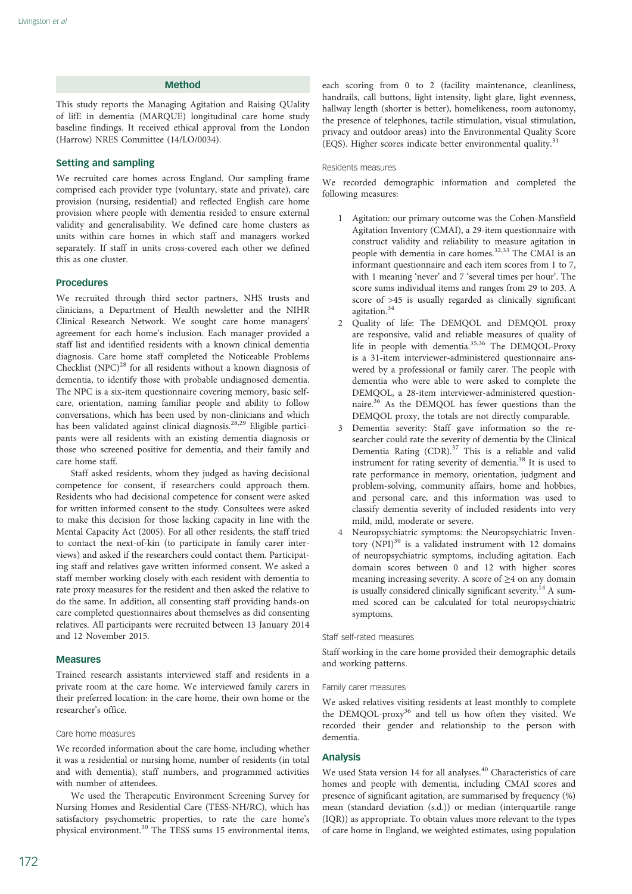## Method

This study reports the Managing Agitation and Raising QUality of lifE in dementia (MARQUE) longitudinal care home study baseline findings. It received ethical approval from the London (Harrow) NRES Committee (14/LO/0034).

# Setting and sampling

We recruited care homes across England. Our sampling frame comprised each provider type (voluntary, state and private), care provision (nursing, residential) and reflected English care home provision where people with dementia resided to ensure external validity and generalisability. We defined care home clusters as units within care homes in which staff and managers worked separately. If staff in units cross-covered each other we defined this as one cluster.

## Procedures

We recruited through third sector partners, NHS trusts and clinicians, a Department of Health newsletter and the NIHR Clinical Research Network. We sought care home managers' agreement for each home's inclusion. Each manager provided a staff list and identified residents with a known clinical dementia diagnosis. Care home staff completed the Noticeable Problems Checklist  $(NPC)^{28}$  $(NPC)^{28}$  $(NPC)^{28}$  for all residents without a known diagnosis of dementia, to identify those with probable undiagnosed dementia. The NPC is a six-item questionnaire covering memory, basic selfcare, orientation, naming familiar people and ability to follow conversations, which has been used by non-clinicians and which has been validated against clinical diagnosis.<sup>[28,29](#page-6-0)</sup> Eligible participants were all residents with an existing dementia diagnosis or those who screened positive for dementia, and their family and care home staff.

Staff asked residents, whom they judged as having decisional competence for consent, if researchers could approach them. Residents who had decisional competence for consent were asked for written informed consent to the study. Consultees were asked to make this decision for those lacking capacity in line with the Mental Capacity Act (2005). For all other residents, the staff tried to contact the next-of-kin (to participate in family carer interviews) and asked if the researchers could contact them. Participating staff and relatives gave written informed consent. We asked a staff member working closely with each resident with dementia to rate proxy measures for the resident and then asked the relative to do the same. In addition, all consenting staff providing hands-on care completed questionnaires about themselves as did consenting relatives. All participants were recruited between 13 January 2014 and 12 November 2015.

## Measures

Trained research assistants interviewed staff and residents in a private room at the care home. We interviewed family carers in their preferred location: in the care home, their own home or the researcher's office.

## Care home measures

We recorded information about the care home, including whether it was a residential or nursing home, number of residents (in total and with dementia), staff numbers, and programmed activities with number of attendees.

We used the Therapeutic Environment Screening Survey for Nursing Homes and Residential Care (TESS-NH/RC), which has satisfactory psychometric properties, to rate the care home's physical environment.[30](#page-6-0) The TESS sums 15 environmental items,

each scoring from 0 to 2 (facility maintenance, cleanliness, handrails, call buttons, light intensity, light glare, light evenness, hallway length (shorter is better), homelikeness, room autonomy, the presence of telephones, tactile stimulation, visual stimulation, privacy and outdoor areas) into the Environmental Quality Score (EQS). Higher scores indicate better environmental quality.<sup>3</sup>

#### Residents measures

We recorded demographic information and completed the following measures:

- 1 Agitation: our primary outcome was the Cohen-Mansfield Agitation Inventory (CMAI), a 29-item questionnaire with construct validity and reliability to measure agitation in people with dementia in care homes. $32,33$  $32,33$  $32,33$  The CMAI is an informant questionnaire and each item scores from 1 to 7, with 1 meaning 'never' and 7 'several times per hour'. The score sums individual items and ranges from 29 to 203. A score of >45 is usually regarded as clinically significant agitation.[34](#page-7-0)
- 2 Quality of life: The DEMQOL and DEMQOL proxy are responsive, valid and reliable measures of quality of life in people with dementia.<sup>[35](#page-7-0),[36](#page-7-0)</sup> The DEMQOL-Proxy is a 31-item interviewer-administered questionnaire answered by a professional or family carer. The people with dementia who were able to were asked to complete the DEMQOL, a 28-item interviewer-administered questionnaire. $36$  As the DEMQOL has fewer questions than the DEMQOL proxy, the totals are not directly comparable.
- 3 Dementia severity: Staff gave information so the re‐ searcher could rate the severity of dementia by the Clinical Dementia Rating  $(CDR)^{37}$  $(CDR)^{37}$  $(CDR)^{37}$  This is a reliable and valid instrument for rating severity of dementia.[38](#page-7-0) It is used to rate performance in memory, orientation, judgment and problem-solving, community affairs, home and hobbies, and personal care, and this information was used to classify dementia severity of included residents into very mild, mild, moderate or severe.
- 4 Neuropsychiatric symptoms: the Neuropsychiatric Inventory  $(NPI)^{39}$  $(NPI)^{39}$  $(NPI)^{39}$  is a validated instrument with 12 domains of neuropsychiatric symptoms, including agitation. Each domain scores between 0 and 12 with higher scores meaning increasing severity. A score of  $\geq$ 4 on any domain is usually considered clinically significant severity.<sup>14</sup> A summed scored can be calculated for total neuropsychiatric symptoms.

## Staff self-rated measures

Staff working in the care home provided their demographic details and working patterns.

#### Family carer measures

We asked relatives visiting residents at least monthly to complete the DEMQOL-proxy<sup>[36](#page-7-0)</sup> and tell us how often they visited. We recorded their gender and relationship to the person with dementia.

# Analysis

We used Stata version 14 for all analyses.<sup>[40](#page-7-0)</sup> Characteristics of care homes and people with dementia, including CMAI scores and presence of significant agitation, are summarised by frequency (%) mean (standard deviation (s.d.)) or median (interquartile range (IQR)) as appropriate. To obtain values more relevant to the types of care home in England, we weighted estimates, using population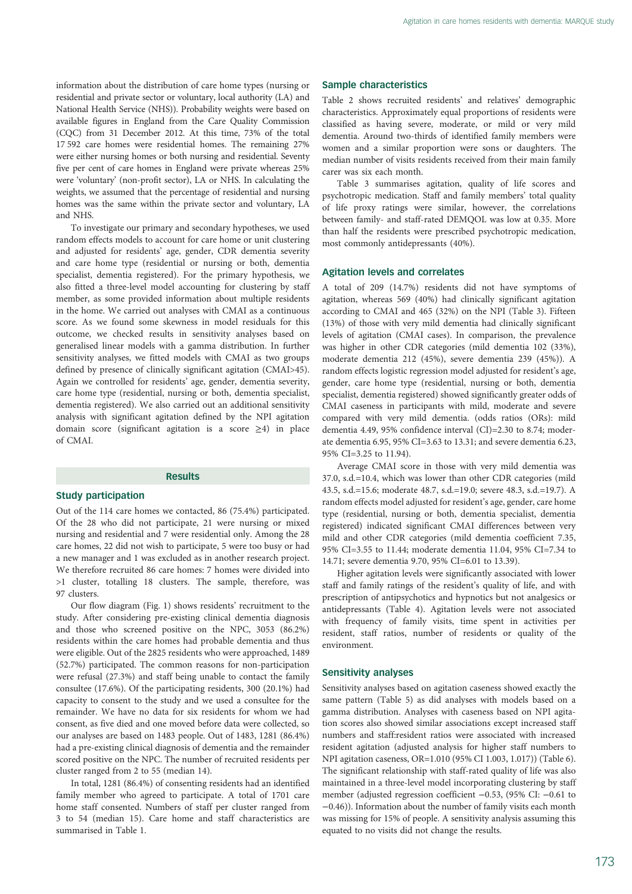information about the distribution of care home types (nursing or residential and private sector or voluntary, local authority (LA) and National Health Service (NHS)). Probability weights were based on available figures in England from the Care Quality Commission (CQC) from 31 December 2012. At this time, 73% of the total 17 592 care homes were residential homes. The remaining 27% were either nursing homes or both nursing and residential. Seventy five per cent of care homes in England were private whereas 25% were 'voluntary' (non-profit sector), LA or NHS. In calculating the weights, we assumed that the percentage of residential and nursing homes was the same within the private sector and voluntary, LA and NHS.

To investigate our primary and secondary hypotheses, we used random effects models to account for care home or unit clustering and adjusted for residents' age, gender, CDR dementia severity and care home type (residential or nursing or both, dementia specialist, dementia registered). For the primary hypothesis, we also fitted a three-level model accounting for clustering by staff member, as some provided information about multiple residents in the home. We carried out analyses with CMAI as a continuous score. As we found some skewness in model residuals for this outcome, we checked results in sensitivity analyses based on generalised linear models with a gamma distribution. In further sensitivity analyses, we fitted models with CMAI as two groups defined by presence of clinically significant agitation (CMAI>45). Again we controlled for residents' age, gender, dementia severity, care home type (residential, nursing or both, dementia specialist, dementia registered). We also carried out an additional sensitivity analysis with significant agitation defined by the NPI agitation domain score (significant agitation is a score  $\geq$ 4) in place of CMAI.

## **Results**

## Study participation

Out of the 114 care homes we contacted, 86 (75.4%) participated. Of the 28 who did not participate, 21 were nursing or mixed nursing and residential and 7 were residential only. Among the 28 care homes, 22 did not wish to participate, 5 were too busy or had a new manager and 1 was excluded as in another research project. We therefore recruited 86 care homes: 7 homes were divided into >1 cluster, totalling 18 clusters. The sample, therefore, was 97 clusters.

Our flow diagram ([Fig. 1](#page-3-0)) shows residents' recruitment to the study. After considering pre-existing clinical dementia diagnosis and those who screened positive on the NPC, 3053 (86.2%) residents within the care homes had probable dementia and thus were eligible. Out of the 2825 residents who were approached, 1489 (52.7%) participated. The common reasons for non-participation were refusal (27.3%) and staff being unable to contact the family consultee (17.6%). Of the participating residents, 300 (20.1%) had capacity to consent to the study and we used a consultee for the remainder. We have no data for six residents for whom we had consent, as five died and one moved before data were collected, so our analyses are based on 1483 people. Out of 1483, 1281 (86.4%) had a pre-existing clinical diagnosis of dementia and the remainder scored positive on the NPC. The number of recruited residents per cluster ranged from 2 to 55 (median 14).

In total, 1281 (86.4%) of consenting residents had an identified family member who agreed to participate. A total of 1701 care home staff consented. Numbers of staff per cluster ranged from 3 to 54 (median 15). Care home and staff characteristics are summarised in [Table 1.](#page-4-0)

## Sample characteristics

[Table 2](#page-4-0) shows recruited residents' and relatives' demographic characteristics. Approximately equal proportions of residents were classified as having severe, moderate, or mild or very mild dementia. Around two-thirds of identified family members were women and a similar proportion were sons or daughters. The median number of visits residents received from their main family carer was six each month.

[Table 3](#page-5-0) summarises agitation, quality of life scores and psychotropic medication. Staff and family members' total quality of life proxy ratings were similar, however, the correlations between family- and staff-rated DEMQOL was low at 0.35. More than half the residents were prescribed psychotropic medication, most commonly antidepressants (40%).

## Agitation levels and correlates

A total of 209 (14.7%) residents did not have symptoms of agitation, whereas 569 (40%) had clinically significant agitation according to CMAI and 465 (32%) on the NPI [\(Table 3\)](#page-5-0). Fifteen (13%) of those with very mild dementia had clinically significant levels of agitation (CMAI cases). In comparison, the prevalence was higher in other CDR categories (mild dementia 102 (33%), moderate dementia 212 (45%), severe dementia 239 (45%)). A random effects logistic regression model adjusted for resident's age, gender, care home type (residential, nursing or both, dementia specialist, dementia registered) showed significantly greater odds of CMAI caseness in participants with mild, moderate and severe compared with very mild dementia. (odds ratios (ORs): mild dementia 4.49, 95% confidence interval (CI)=2.30 to 8.74; moderate dementia 6.95, 95% CI=3.63 to 13.31; and severe dementia 6.23, 95% CI=3.25 to 11.94).

Average CMAI score in those with very mild dementia was 37.0, s.d.=10.4, which was lower than other CDR categories (mild 43.5, s.d.=15.6; moderate 48.7, s.d.=19.0; severe 48.3, s.d.=19.7). A random effects model adjusted for resident's age, gender, care home type (residential, nursing or both, dementia specialist, dementia registered) indicated significant CMAI differences between very mild and other CDR categories (mild dementia coefficient 7.35, 95% CI=3.55 to 11.44; moderate dementia 11.04, 95% CI=7.34 to 14.71; severe dementia 9.70, 95% CI=6.01 to 13.39).

Higher agitation levels were significantly associated with lower staff and family ratings of the resident's quality of life, and with prescription of antipsychotics and hypnotics but not analgesics or antidepressants ([Table 4\)](#page-5-0). Agitation levels were not associated with frequency of family visits, time spent in activities per resident, staff ratios, number of residents or quality of the environment.

## Sensitivity analyses

Sensitivity analyses based on agitation caseness showed exactly the same pattern [\(Table 5](#page-5-0)) as did analyses with models based on a gamma distribution. Analyses with caseness based on NPI agitation scores also showed similar associations except increased staff numbers and staff:resident ratios were associated with increased resident agitation (adjusted analysis for higher staff numbers to NPI agitation caseness, OR=1.010 (95% CI 1.003, 1.017)) [\(Table 6](#page-5-0)). The significant relationship with staff-rated quality of life was also maintained in a three-level model incorporating clustering by staff member (adjusted regression coefficient −0.53, (95% CI: −0.61 to −0.46)). Information about the number of family visits each month was missing for 15% of people. A sensitivity analysis assuming this equated to no visits did not change the results.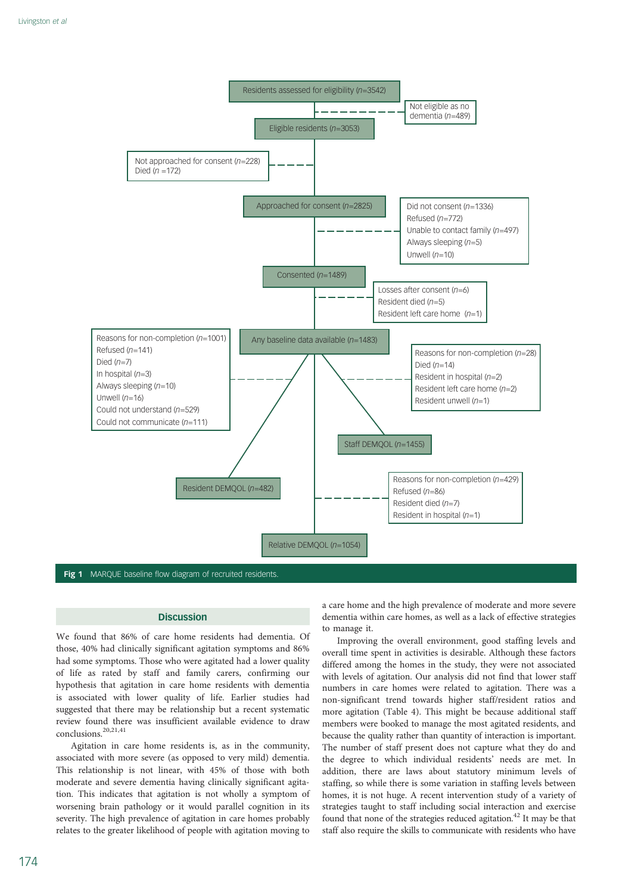<span id="page-3-0"></span>

Fig 1 MARQUE baseline flow diagram of recruited residents

## Discussion

We found that 86% of care home residents had dementia. Of those, 40% had clinically significant agitation symptoms and 86% had some symptoms. Those who were agitated had a lower quality of life as rated by staff and family carers, confirming our hypothesis that agitation in care home residents with dementia is associated with lower quality of life. Earlier studies had suggested that there may be relationship but a recent systematic review found there was insufficient available evidence to draw conclusions.[20](#page-6-0),[21](#page-6-0),[41](#page-7-0)

Agitation in care home residents is, as in the community, associated with more severe (as opposed to very mild) dementia. This relationship is not linear, with 45% of those with both moderate and severe dementia having clinically significant agitation. This indicates that agitation is not wholly a symptom of worsening brain pathology or it would parallel cognition in its severity. The high prevalence of agitation in care homes probably relates to the greater likelihood of people with agitation moving to

a care home and the high prevalence of moderate and more severe dementia within care homes, as well as a lack of effective strategies to manage it.

Improving the overall environment, good staffing levels and overall time spent in activities is desirable. Although these factors differed among the homes in the study, they were not associated with levels of agitation. Our analysis did not find that lower staff numbers in care homes were related to agitation. There was a non-significant trend towards higher staff/resident ratios and more agitation [\(Table 4\)](#page-5-0). This might be because additional staff members were booked to manage the most agitated residents, and because the quality rather than quantity of interaction is important. The number of staff present does not capture what they do and the degree to which individual residents' needs are met. In addition, there are laws about statutory minimum levels of staffing, so while there is some variation in staffing levels between homes, it is not huge. A recent intervention study of a variety of strategies taught to staff including social interaction and exercise found that none of the strategies reduced agitation.<sup>[42](#page-7-0)</sup> It may be that staff also require the skills to communicate with residents who have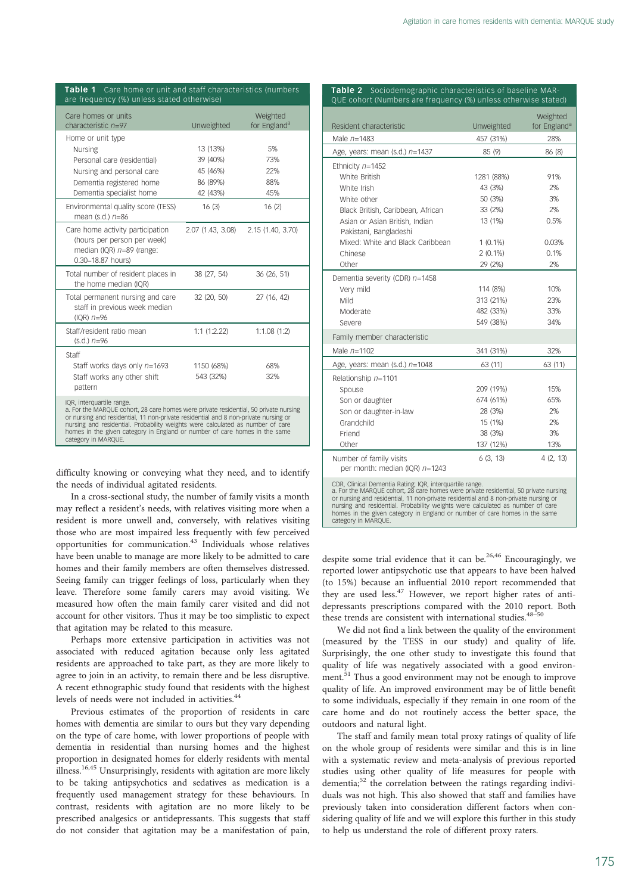| are frequency (%) unless stated otherwise)                                                                                                                                                                                                                                                                                                                                                      |                                              |                                      |  |  |
|-------------------------------------------------------------------------------------------------------------------------------------------------------------------------------------------------------------------------------------------------------------------------------------------------------------------------------------------------------------------------------------------------|----------------------------------------------|--------------------------------------|--|--|
| Care homes or units<br>characteristic $n=97$                                                                                                                                                                                                                                                                                                                                                    | Unweighted                                   | Weighted<br>for England <sup>a</sup> |  |  |
| Home or unit type<br><b>Nursing</b><br>Personal care (residential)<br>Nursing and personal care<br>Dementia registered home                                                                                                                                                                                                                                                                     | 13 (13%)<br>39 (40%)<br>45 (46%)<br>86 (89%) | 5%<br>73%<br>22%<br>88%              |  |  |
| Dementia specialist home                                                                                                                                                                                                                                                                                                                                                                        | 42 (43%)                                     | 45%                                  |  |  |
| Environmental quality score (TESS)<br>mean (s.d.) n=86                                                                                                                                                                                                                                                                                                                                          | 16(3)                                        | 16(2)                                |  |  |
| Care home activity participation<br>(hours per person per week)<br>median (IQR) $n=89$ (range:<br>0.30-18.87 hours)                                                                                                                                                                                                                                                                             | 2.07 (1.43, 3.08)                            | 2.15 (1.40, 3.70)                    |  |  |
| Total number of resident places in<br>the home median (IQR)                                                                                                                                                                                                                                                                                                                                     | 38 (27, 54)                                  | 36 (26, 51)                          |  |  |
| Total permanent nursing and care<br>staff in previous week median<br>$(IQR)$ $n=96$                                                                                                                                                                                                                                                                                                             | 32 (20, 50)                                  | 27 (16, 42)                          |  |  |
| Staff/resident ratio mean<br>$(s.d.)$ $n=96$                                                                                                                                                                                                                                                                                                                                                    | 1:1(1:2.22)                                  | 1:1.08(1:2)                          |  |  |
| Staff<br>Staff works days only n=1693<br>Staff works any other shift<br>pattern                                                                                                                                                                                                                                                                                                                 | 1150 (68%)<br>543 (32%)                      | 68%<br>32%                           |  |  |
| IQR, interquartile range.<br>a. For the MARQUE cohort, 28 care homes were private residential, 50 private nursing<br>or nursing and residential, 11 non-private residential and 8 non-private nursing or<br>nursing and residential. Probability weights were calculated as number of care<br>homes in the given category in England or number of care homes in the same<br>category in MARQUE. |                                              |                                      |  |  |

<span id="page-4-0"></span> $\mathsf{Table 1}$  Care home or u

difficulty knowing or conveying what they need, and to identify the needs of individual agitated residents.

In a cross-sectional study, the number of family visits a month may reflect a resident's needs, with relatives visiting more when a resident is more unwell and, conversely, with relatives visiting those who are most impaired less frequently with few perceived opportunities for communication.[43](#page-7-0) Individuals whose relatives have been unable to manage are more likely to be admitted to care homes and their family members are often themselves distressed. Seeing family can trigger feelings of loss, particularly when they leave. Therefore some family carers may avoid visiting. We measured how often the main family carer visited and did not account for other visitors. Thus it may be too simplistic to expect that agitation may be related to this measure.

Perhaps more extensive participation in activities was not associated with reduced agitation because only less agitated residents are approached to take part, as they are more likely to agree to join in an activity, to remain there and be less disruptive. A recent ethnographic study found that residents with the highest levels of needs were not included in activities.<sup>[44](#page-7-0)</sup>

Previous estimates of the proportion of residents in care homes with dementia are similar to ours but they vary depending on the type of care home, with lower proportions of people with dementia in residential than nursing homes and the highest proportion in designated homes for elderly residents with mental illness.[16](#page-6-0),[45](#page-7-0) Unsurprisingly, residents with agitation are more likely to be taking antipsychotics and sedatives as medication is a frequently used management strategy for these behaviours. In contrast, residents with agitation are no more likely to be prescribed analgesics or antidepressants. This suggests that staff do not consider that agitation may be a manifestation of pain,

## Table 2 Sociodemographic characteristics of baseline MAR-QUE cohort (Numbers are frequency (%) unless otherwise stated)

| Resident characteristic                                                                                                                          | Unweighted | Weighted<br>for England <sup>a</sup> |  |
|--------------------------------------------------------------------------------------------------------------------------------------------------|------------|--------------------------------------|--|
| Male $n=1483$                                                                                                                                    | 457 (31%)  | 28%                                  |  |
| Age, years: mean (s.d.) $n=1437$                                                                                                                 | 85 (9)     | 86 (8)                               |  |
| Ethnicity $n=1452$                                                                                                                               |            |                                      |  |
| White British                                                                                                                                    | 1281 (88%) | 91%                                  |  |
| White Irish                                                                                                                                      | 43 (3%)    | 2%                                   |  |
| White other                                                                                                                                      | 50 (3%)    | 3%                                   |  |
| Black British, Caribbean, African                                                                                                                | 33 (2%)    | 2%                                   |  |
| Asian or Asian British, Indian                                                                                                                   | 13 (1%)    | 0.5%                                 |  |
| Pakistani, Bangladeshi                                                                                                                           |            |                                      |  |
| Mixed: White and Black Caribbean                                                                                                                 | $1(0.1\%)$ | 0.03%                                |  |
| Chinese                                                                                                                                          | $2(0.1\%)$ | 0.1%                                 |  |
| Other                                                                                                                                            | 29 (2%)    | 2%                                   |  |
| Dementia severity (CDR) $n=1458$                                                                                                                 |            |                                      |  |
| Very mild                                                                                                                                        | 114 (8%)   | 10%                                  |  |
| Mild                                                                                                                                             | 313 (21%)  | 23%                                  |  |
| Moderate                                                                                                                                         | 482 (33%)  | 33%                                  |  |
| Severe                                                                                                                                           | 549 (38%)  | 34%                                  |  |
| Family member characteristic                                                                                                                     |            |                                      |  |
| Male $n=1102$                                                                                                                                    | 341 (31%)  | 32%                                  |  |
| Age, years: mean (s.d.) n=1048                                                                                                                   | 63 (11)    | 63 (11)                              |  |
| Relationship n=1101                                                                                                                              |            |                                      |  |
| Spouse                                                                                                                                           | 209 (19%)  | 15%                                  |  |
| Son or daughter                                                                                                                                  | 674 (61%)  | 65%                                  |  |
| Son or daughter-in-law                                                                                                                           | 28 (3%)    | 2%                                   |  |
| Grandchild                                                                                                                                       | 15 (1%)    | 2%                                   |  |
| Friend                                                                                                                                           | 38 (3%)    | 3%                                   |  |
| Other                                                                                                                                            | 137 (12%)  | 13%                                  |  |
| Number of family visits<br>per month: median (IQR) n=1243                                                                                        | 6(3, 13)   | 4(2, 13)                             |  |
| CDR, Clinical Dementia Rating; IQR, interquartile range.<br>a. For the MARQUE cohort, 28 care homes were private residential, 50 private nursing |            |                                      |  |

or nursing and residential, 11 non-private residential and 8 non-private nursing nursing and residential. Probability weights were calculated as number of care homes in the given category in England or number of care homes in the same category in MARQUE

despite some trial evidence that it can be.<sup>[26](#page-6-0),[46](#page-7-0)</sup> Encouragingly, we reported lower antipsychotic use that appears to have been halved (to 15%) because an influential 2010 report recommended that they are used less.[47](#page-7-0) However, we report higher rates of antidepressants prescriptions compared with the 2010 report. Both these trends are consistent with international studies. $48-50$  $48-50$  $48-50$ 

We did not find a link between the quality of the environment (measured by the TESS in our study) and quality of life. Surprisingly, the one other study to investigate this found that quality of life was negatively associated with a good environ-ment.<sup>[51](#page-7-0)</sup> Thus a good environment may not be enough to improve quality of life. An improved environment may be of little benefit to some individuals, especially if they remain in one room of the care home and do not routinely access the better space, the outdoors and natural light.

The staff and family mean total proxy ratings of quality of life on the whole group of residents were similar and this is in line with a systematic review and meta-analysis of previous reported studies using other quality of life measures for people with dementia; $52$  the correlation between the ratings regarding individuals was not high. This also showed that staff and families have previously taken into consideration different factors when considering quality of life and we will explore this further in this study to help us understand the role of different proxy raters.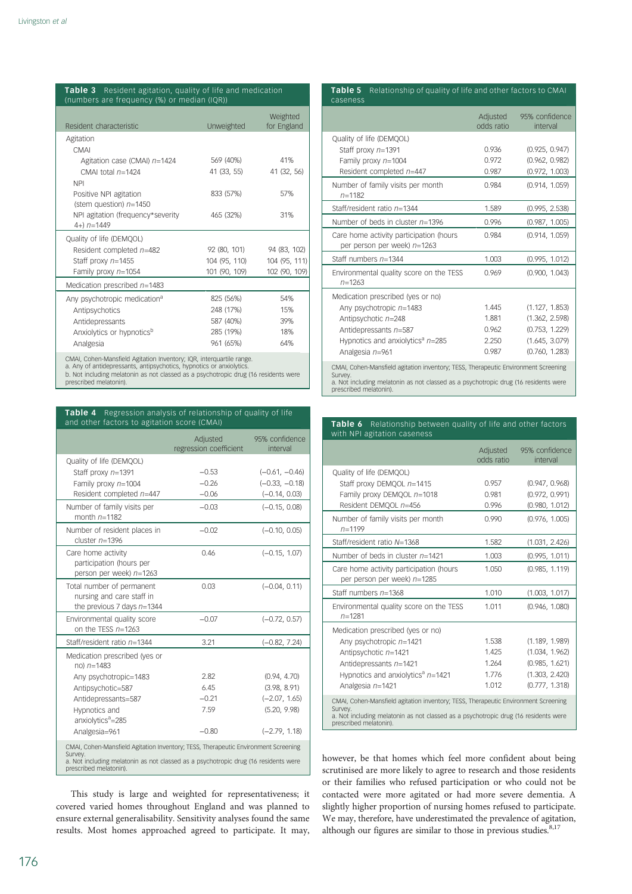<span id="page-5-0"></span>

| <b>Table 3</b> Resident agitation, quality of life and medication<br>(numbers are frequency (%) or median (IQR))                             |               |                         |  |
|----------------------------------------------------------------------------------------------------------------------------------------------|---------------|-------------------------|--|
| Resident characteristic                                                                                                                      | Unweighted    | Weighted<br>for England |  |
| Agitation                                                                                                                                    |               |                         |  |
| CMAI                                                                                                                                         |               |                         |  |
| Agitation case (CMAI) n=1424                                                                                                                 | 569 (40%)     | 41%                     |  |
| CMAI total $n=1424$                                                                                                                          | 41 (33, 55)   | 41 (32, 56)             |  |
| <b>NPI</b>                                                                                                                                   |               |                         |  |
| Positive NPI agitation                                                                                                                       | 833 (57%)     | 57%                     |  |
| (stem question) $n=1450$                                                                                                                     |               |                         |  |
| NPI agitation (frequency*severity                                                                                                            | 465 (32%)     | 31%                     |  |
| $(4+)$ n=1449                                                                                                                                |               |                         |  |
| Quality of life (DEMQOL)                                                                                                                     |               |                         |  |
| Resident completed n=482                                                                                                                     | 92 (80, 101)  | 94 (83, 102)            |  |
| Staff proxy n=1455                                                                                                                           | 104 (95, 110) | 104 (95, 111)           |  |
| Family proxy $n=1054$                                                                                                                        | 101 (90, 109) | 102 (90, 109)           |  |
| Medication prescribed $n=1483$                                                                                                               |               |                         |  |
| Any psychotropic medication <sup>a</sup>                                                                                                     | 825 (56%)     | 54%                     |  |
| Antipsychotics                                                                                                                               | 248 (17%)     | 15%                     |  |
| Antidepressants                                                                                                                              | 587 (40%)     | 39%                     |  |
| Anxiolytics or hypnotics <sup>b</sup>                                                                                                        | 285 (19%)     | 18%                     |  |
| Analgesia                                                                                                                                    | 961 (65%)     | 64%                     |  |
| CMAI, Cohen-Mansfield Agitation Inventory; IQR, interquartile range.<br>a. Any of antidepressants, antipsychotics, hypnotics or anxiolytics. |               |                         |  |

b. Not including melatonin as not classed as a psychotropic drug (16 residents were prescribed melatonin).

#### Table 4 Regression analysis of relationship of quality of life and other factors to agitation score (CMAI)

|                                                                                                                                                                                                                | Adjusted<br>regression coefficient | 95% confidence<br>interval                              |  |
|----------------------------------------------------------------------------------------------------------------------------------------------------------------------------------------------------------------|------------------------------------|---------------------------------------------------------|--|
| Quality of life (DEMQOL)<br>Staff proxy n=1391<br>Family proxy $n=1004$<br>Resident completed n=447                                                                                                            | $-0.53$<br>$-0.26$<br>$-0.06$      | $(-0.61, -0.46)$<br>$(-0.33, -0.18)$<br>$(-0.14, 0.03)$ |  |
| Number of family visits per<br>month $n=1182$                                                                                                                                                                  | $-0.03$                            | $(-0.15, 0.08)$                                         |  |
| Number of resident places in<br>cluster $n=1.396$                                                                                                                                                              | $-0.02$                            | $(-0.10, 0.05)$                                         |  |
| Care home activity<br>participation (hours per<br>person per week) $n=1263$                                                                                                                                    | 0.46                               | $(-0.15, 1.07)$                                         |  |
| Total number of permanent<br>nursing and care staff in<br>the previous 7 days $n=1344$                                                                                                                         | 0.03                               | $(-0.04, 0.11)$                                         |  |
| Environmental quality score<br>on the TFSS $n=1263$                                                                                                                                                            | $-0.07$                            | $(-0.72, 0.57)$                                         |  |
| Staff/resident ratio $n=1344$                                                                                                                                                                                  | 3.21                               | $(-0.82, 7.24)$                                         |  |
| Medication prescribed (yes or<br>$no)$ $n = 1483$                                                                                                                                                              |                                    |                                                         |  |
| Any psychotropic=1483                                                                                                                                                                                          | 2.82                               | (0.94, 4.70)                                            |  |
| Antipsychotic=587                                                                                                                                                                                              | 6.45                               | (3.98, 8.91)                                            |  |
| Antidepressants=587                                                                                                                                                                                            | $-0.21$                            | $(-2.07, 1.65)$                                         |  |
| Hypnotics and<br>anxiolytics <sup>a</sup> =285                                                                                                                                                                 | 7.59                               | (5.20, 9.98)                                            |  |
| Analgesia=961                                                                                                                                                                                                  | $-0.80$                            | $(-2.79, 1.18)$                                         |  |
| CMAI, Cohen-Mansfield Agitation Inventory; TESS, Therapeutic Environment Screening<br>Survey.<br>a. Not including melatonin as not classed as a psychotropic drug (16 residents were<br>prescribed melatonin). |                                    |                                                         |  |

This study is large and weighted for representativeness; it covered varied homes throughout England and was planned to ensure external generalisability. Sensitivity analyses found the same results. Most homes approached agreed to participate. It may,

#### Adjusted odds ratio 95% confidence interval Quality of life (DEMQOL) Staff proxy n=1391 0.936 (0.925, 0.947) Family proxy n=1004 0.972 (0.962, 0.982) Resident completed n=447 0.987 (0.972, 1.003) Number of family visits per month n=1182 0.984 (0.914, 1.059) Staff/resident ratio n=1344 1.589 (0.995, 2.538) Number of beds in cluster  $n=1396$  0.996 (0.987, 1.005) Care home activity participation (hours per person per week) n=1263 0.984 (0.914, 1.059) Staff numbers  $n=1344$  1.003 (0.995, 1.012) Environmental quality score on the TESS n=1263 0.969 (0.900, 1.043) Medication prescribed (yes or no) Any psychotropic n=1483 1.445 (1.127, 1.853) Antipsychotic  $n=248$  1.881 (1.362, 2.598) Antidepressants *n*=587 0.962 (0.753, 1.229) Hypnotics and anxiolytics<sup>a</sup>  $n=285$  2.250 (1.645, 3.079) Analgesia n=961 0.987 (0.760, 1.283) CMAI, Cohen-Mansfield agitation inventory; TESS, Therapeutic Environment Screening

Table 5 Relationship of quality of life and other factors to CMAI

caseness

Survey. a. Not including melatonin as not classed as a psychotropic drug (16 residents were prescribed melatonin).

## Table 6 Relationship between quality of life and other factors with NPI agitation caseness

| with iver agreement casemess                                                                                                                                                                                   |                        |                            |
|----------------------------------------------------------------------------------------------------------------------------------------------------------------------------------------------------------------|------------------------|----------------------------|
|                                                                                                                                                                                                                | Adjusted<br>odds ratio | 95% confidence<br>interval |
| Quality of life (DEMQOL)                                                                                                                                                                                       |                        |                            |
| Staff proxy DEMQOL n=1415                                                                                                                                                                                      | Q 957                  | (0.947, 0.968)             |
| Family proxy DEMQOL n=1018                                                                                                                                                                                     | 0.981                  | (0.972, 0.991)             |
| Resident DEMQOL n=456                                                                                                                                                                                          | 0.996                  | (0.980, 1.012)             |
| Number of family visits per month<br>$n = 1199$                                                                                                                                                                | 0.990                  | (0.976, 1.005)             |
| Staff/resident ratio N=1368                                                                                                                                                                                    | 1.582                  | (1.031, 2.426)             |
| Number of beds in cluster $n=1421$                                                                                                                                                                             | 1.003                  | (0.995, 1.011)             |
| Care home activity participation (hours<br>per person per week) n=1285                                                                                                                                         | 1.050                  | (0.985, 1.119)             |
| Staff numbers $n=1368$                                                                                                                                                                                         | 1.010                  | (1.003, 1.017)             |
| Environmental quality score on the TESS<br>$n = 1281$                                                                                                                                                          | 1.011                  | (0.946, 1.080)             |
| Medication prescribed (yes or no)                                                                                                                                                                              |                        |                            |
| Any psychotropic n=1421                                                                                                                                                                                        | 1.538                  | (1.189, 1.989)             |
| Antipsychotic n=1421                                                                                                                                                                                           | 1.425                  | (1.034, 1.962)             |
| Antidepressants n=1421                                                                                                                                                                                         | 1.264                  | (0.985, 1.621)             |
| Hypnotics and anxiolytics <sup>a</sup> n=1421                                                                                                                                                                  | 1.776                  | (1.303, 2.420)             |
| Analgesia n=1421                                                                                                                                                                                               | 1.012                  | (0.777, 1.318)             |
| CMAI, Cohen-Mansfield agitation inventory; TESS, Therapeutic Environment Screening<br>Survey.<br>a. Not including melatonin as not classed as a psychotropic drug (16 residents were<br>prescribed melatonin). |                        |                            |

however, be that homes which feel more confident about being scrutinised are more likely to agree to research and those residents or their families who refused participation or who could not be contacted were more agitated or had more severe dementia. A slightly higher proportion of nursing homes refused to participate. We may, therefore, have underestimated the prevalence of agitation, although our figures are similar to those in previous studies.<sup>8,[17](#page-6-0)</sup>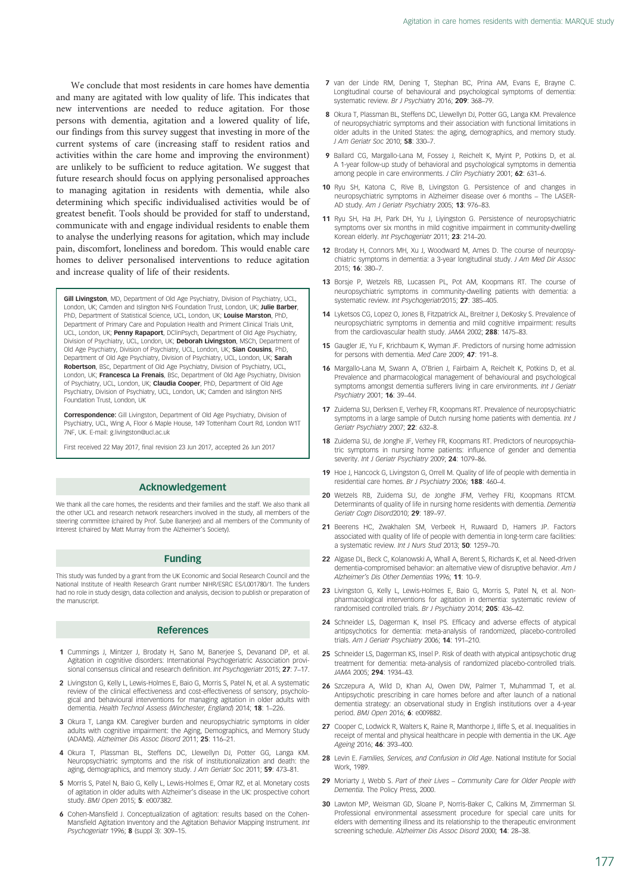<span id="page-6-0"></span>We conclude that most residents in care homes have dementia and many are agitated with low quality of life. This indicates that new interventions are needed to reduce agitation. For those persons with dementia, agitation and a lowered quality of life, our findings from this survey suggest that investing in more of the current systems of care (increasing staff to resident ratios and activities within the care home and improving the environment) are unlikely to be sufficient to reduce agitation. We suggest that future research should focus on applying personalised approaches to managing agitation in residents with dementia, while also determining which specific individualised activities would be of greatest benefit. Tools should be provided for staff to understand, communicate with and engage individual residents to enable them to analyse the underlying reasons for agitation, which may include pain, discomfort, loneliness and boredom. This would enable care homes to deliver personalised interventions to reduce agitation and increase quality of life of their residents.

**Gill Livingston**, MD, Department of Old Age Psychiatry, Division of Psychiatry, UCL London, UK; Camden and Islington NHS Foundation Trust, London, UK; Julie Barber, PhD, Department of Statistical Science, UCL, London, UK; Louise Marston, PhD, Department of Primary Care and Population Health and Priment Clinical Trials Unit, UCL, London, UK; Penny Rapaport, DClinPsych, Department of Old Age Psychiatry, Division of Psychiatry, UCL, London, UK; Deborah Livingston, MSCh, Department of Old Age Psychiatry, Division of Psychiatry, UCL, London, UK; Sian Cousins, PhD, Department of Old Age Psychiatry, Division of Psychiatry, UCL, London, UK; Sarah Robertson, BSc, Department of Old Age Psychiatry, Division of Psychiatry, UCL, London, UK; Francesca La Frenais, BSc, Department of Old Age Psychiatry, Division of Psychiatry, UCL, London, UK; Claudia Cooper, PhD, Department of Old Age Psychiatry, Division of Psychiatry, UCL, London, UK; Camden and Islington NHS Foundation Trust, London, UK

Correspondence: Gill Livingston, Department of Old Age Psychiatry, Division of Psychiatry, UCL, Wing A, Floor 6 Maple House, 149 Tottenham Court Rd, London W1T 7NF, UK. E-mail: [g.livingston@ucl.ac.uk](mailto:g.livingston@ucl.ac.uk)

First received 22 May 2017, final revision 23 Jun 2017, accepted 26 Jun 2017

## Acknowledgement

We thank all the care homes, the residents and their families and the staff. We also thank all the other UCL and research network researchers involved in the study, all members of the steering committee (chaired by Prof. Sube Banerjee) and all members of the Community of Interest (chaired by Matt Murray from the Alzheimer's Society).

## Funding

This study was funded by a grant from the UK Economic and Social Research Council and the National Institute of Health Research Grant number NIHR/ESRC ES/L001780/1. The funders had no role in study design, data collection and analysis, decision to publish or preparation of the manuscript.

## References

- 1 Cummings J, Mintzer J, Brodaty H, Sano M, Banerjee S, Devanand DP, et al. Agitation in cognitive disorders: International Psychogeriatric Association provisional consensus clinical and research definition. Int Psychogeriatr 2015; 27: 7–17.
- 2 Livingston G, Kelly L, Lewis-Holmes E, Baio G, Morris S, Patel N, et al. A systematic review of the clinical effectiveness and cost-effectiveness of sensory, psychological and behavioural interventions for managing agitation in older adults with dementia. Health Technol Assess (Winchester, England) 2014; 18: 1–226.
- 3. Okura T, Langa KM. Caregiver burden and neuropsychiatric symptoms in older adults with cognitive impairment: the Aging, Demographics, and Memory Study (ADAMS). Alzheimer Dis Assoc Disord 2011; 25: 116–21.
- 4 Okura T, Plassman BL, Steffens DC, Llewellyn DJ, Potter GG, Langa KM. Neuropsychiatric symptoms and the risk of institutionalization and death: the aging, demographics, and memory study. J Am Geriatr Soc 2011; 59: 473-81.
- 5 Morris S, Patel N, Baio G, Kelly L, Lewis-Holmes E, Omar RZ, et al. Monetary costs of agitation in older adults with Alzheimer's disease in the UK: prospective cohort study. BMJ Open 2015; 5: e007382.
- 6 Cohen-Mansfield J. Conceptualization of agitation: results based on the Cohen-Mansfield Agitation Inventory and the Agitation Behavior Mapping Instrument. Int Psychogeriatr 1996; 8 (suppl 3): 309–15.
- 7 van der Linde RM, Dening T, Stephan BC, Prina AM, Evans E, Brayne C. Longitudinal course of behavioural and psychological symptoms of dementia: systematic review. Br J Psychiatry 2016; 209: 368–79.
- 8 Okura T, Plassman BL, Steffens DC, Llewellyn DJ, Potter GG, Langa KM. Prevalence of neuropsychiatric symptoms and their association with functional limitations in older adults in the United States: the aging, demographics, and memory study. J Am Geriatr Soc 2010; 58: 330–7.
- 9 Ballard CG, Margallo-Lana M, Fossey J, Reichelt K, Myint P, Potkins D, et al. A 1-year follow-up study of behavioral and psychological symptoms in dementia among people in care environments. J Clin Psychiatry 2001; 62: 631–6.
- 10 Ryu SH, Katona C, Rive B, Livingston G. Persistence of and changes in neuropsychiatric symptoms in Alzheimer disease over 6 months – The LASER-AD study. Am J Geriatr Psychiatry 2005; 13: 976–83.
- 11 Ryu SH, Ha JH, Park DH, Yu J, Liyingston G. Persistence of neuropsychiatric symptoms over six months in mild cognitive impairment in community-dwelling Korean elderly. Int Psychogeriatr 2011; 23: 214-20.
- 12 Brodaty H, Connors MH, Xu J, Woodward M, Ames D. The course of neuropsychiatric symptoms in dementia: a 3-year longitudinal study. J Am Med Dir Assoc 2015; 16: 380–7.
- 13 Borsje P, Wetzels RB, Lucassen PL, Pot AM, Koopmans RT. The course of neuropsychiatric symptoms in community-dwelling patients with dementia: a systematic review. Int Psychogeriatr2015; 27: 385-405.
- 14 Lyketsos CG, Lopez O, Jones B, Fitzpatrick AL, Breitner J, DeKosky S. Prevalence of neuropsychiatric symptoms in dementia and mild cognitive impairment: results from the cardiovascular health study. JAMA 2002; 288: 1475–83.
- 15 Gaugler JE, Yu F, Krichbaum K, Wyman JF. Predictors of nursing home admission for persons with dementia. Med Care 2009; 47: 191–8.
- 16 Margallo-Lana M, Swann A, O'Brien J, Fairbairn A, Reichelt K, Potkins D, et al. Prevalence and pharmacological management of behavioural and psychological symptoms amongst dementia sufferers living in care environments. Int J Geriatr Psychiatry 2001; 16: 39–44.
- 17 Zuidema SU, Derksen E, Verhey FR, Koopmans RT. Prevalence of neuropsychiatric symptoms in a large sample of Dutch nursing home patients with dementia. Int J Geriatr Psychiatry 2007; 22: 632-8.
- 18 Zuidema SU, de Jonghe JF, Verhey FR, Koopmans RT. Predictors of neuropsychiatric symptoms in nursing home patients: influence of gender and dementia severity. Int J Geriatr Psychiatry 2009; 24: 1079-86.
- 19 Hoe J, Hancock G, Livingston G, Orrell M. Quality of life of people with dementia in residential care homes. Br J Psychiatry 2006; 188: 460-4.
- 20 Wetzels RB, Zuidema SU, de Jonghe JFM, Verhey FRJ, Koopmans RTCM. Determinants of quality of life in nursing home residents with dementia. Dementia Geriatr Cogn Disord2010; 29: 189–97.
- 21 Beerens HC, Zwakhalen SM, Verbeek H, Ruwaard D, Hamers JP. Factors associated with quality of life of people with dementia in long-term care facilities: a systematic review. Int J Nurs Stud 2013; 50: 1259–70.
- 22 Algase DL, Beck C, Kolanowski A, Whall A, Berent S, Richards K, et al. Need-driven dementia-compromised behavior: an alternative view of disruptive behavior. Am J Alzheimer's Dis Other Dementias 1996; 11: 10-9.
- 23 Livingston G, Kelly L, Lewis-Holmes E, Baio G, Morris S, Patel N, et al. Nonpharmacological interventions for agitation in dementia: systematic review of randomised controlled trials. Br J Psychiatry 2014; 205: 436–42.
- 24 Schneider LS, Dagerman K, Insel PS. Efficacy and adverse effects of atypical antipsychotics for dementia: meta-analysis of randomized, placebo-controlled trials. Am J Geriatr Psychiatry 2006; 14: 191-210.
- 25 Schneider LS, Dagerman KS, Insel P. Risk of death with atypical antipsychotic drug treatment for dementia: meta-analysis of randomized placebo-controlled trials. JAMA 2005; 294: 1934–43.
- 26 Szczepura A, Wild D, Khan AJ, Owen DW, Palmer T, Muhammad T, et al. Antipsychotic prescribing in care homes before and after launch of a national dementia strategy: an observational study in English institutions over a 4-year period. BMJ Open 2016; 6: e009882.
- 27 Cooper C, Lodwick R, Walters K, Raine R, Manthorpe J, Iliffe S, et al. Inequalities in receipt of mental and physical healthcare in people with dementia in the UK. Age Ageing 2016; 46: 393-400.
- 28 Levin E. Families, Services, and Confusion in Old Age. National Institute for Social **Work** 1989
- 29 Moriarty J, Webb S. Part of their Lives Community Care for Older People with Dementia. The Policy Press, 2000.
- 30 Lawton MP, Weisman GD, Sloane P, Norris-Baker C, Calkins M, Zimmerman SI. Professional environmental assessment procedure for special care units for elders with dementing illness and its relationship to the therapeutic environment screening schedule. Alzheimer Dis Assoc Disord 2000; 14: 28-38.